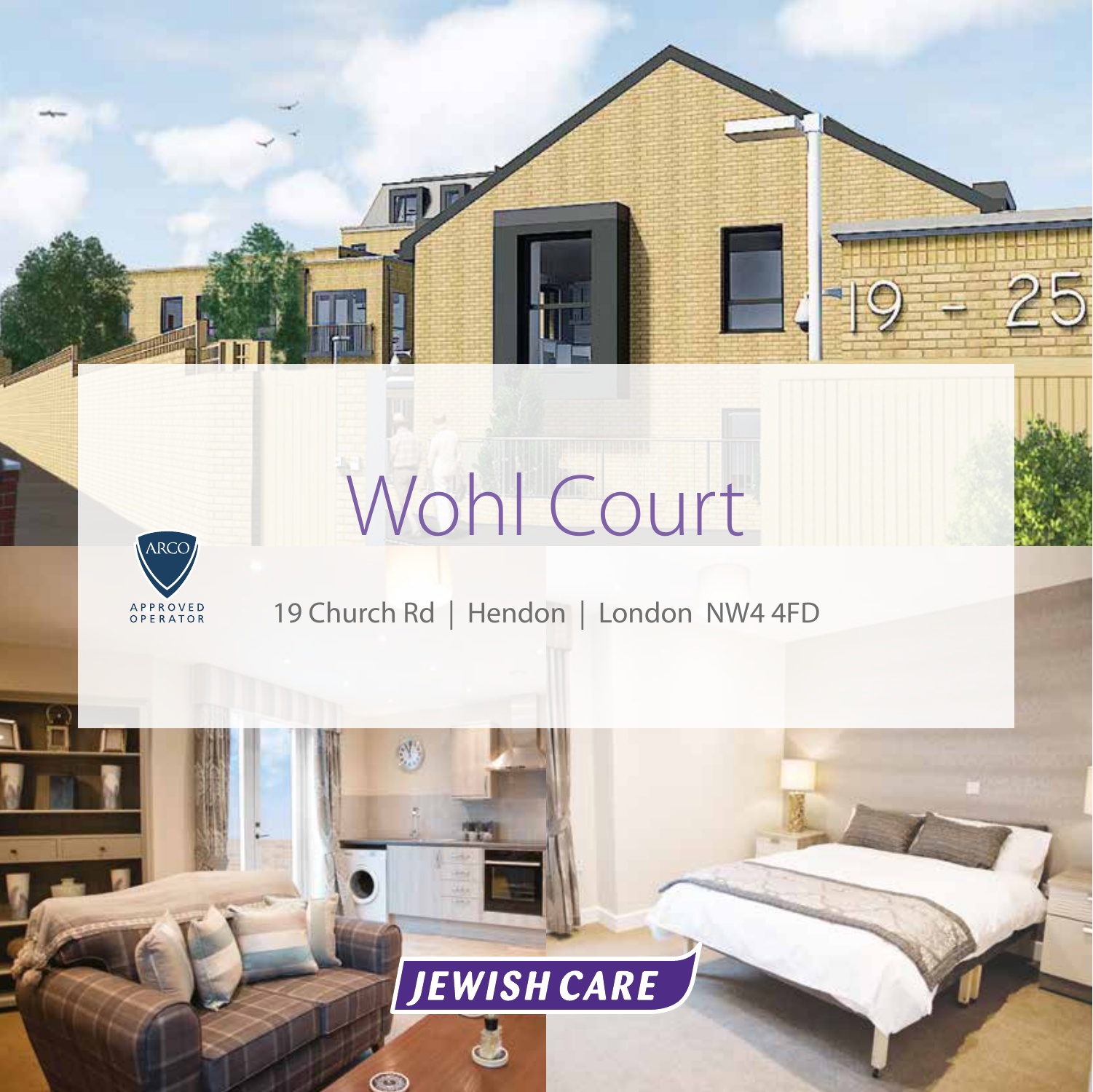# Wohl Court

**L** 

T



19 Church Rd | Hendon | London NW4 4FD



 $\bigcirc$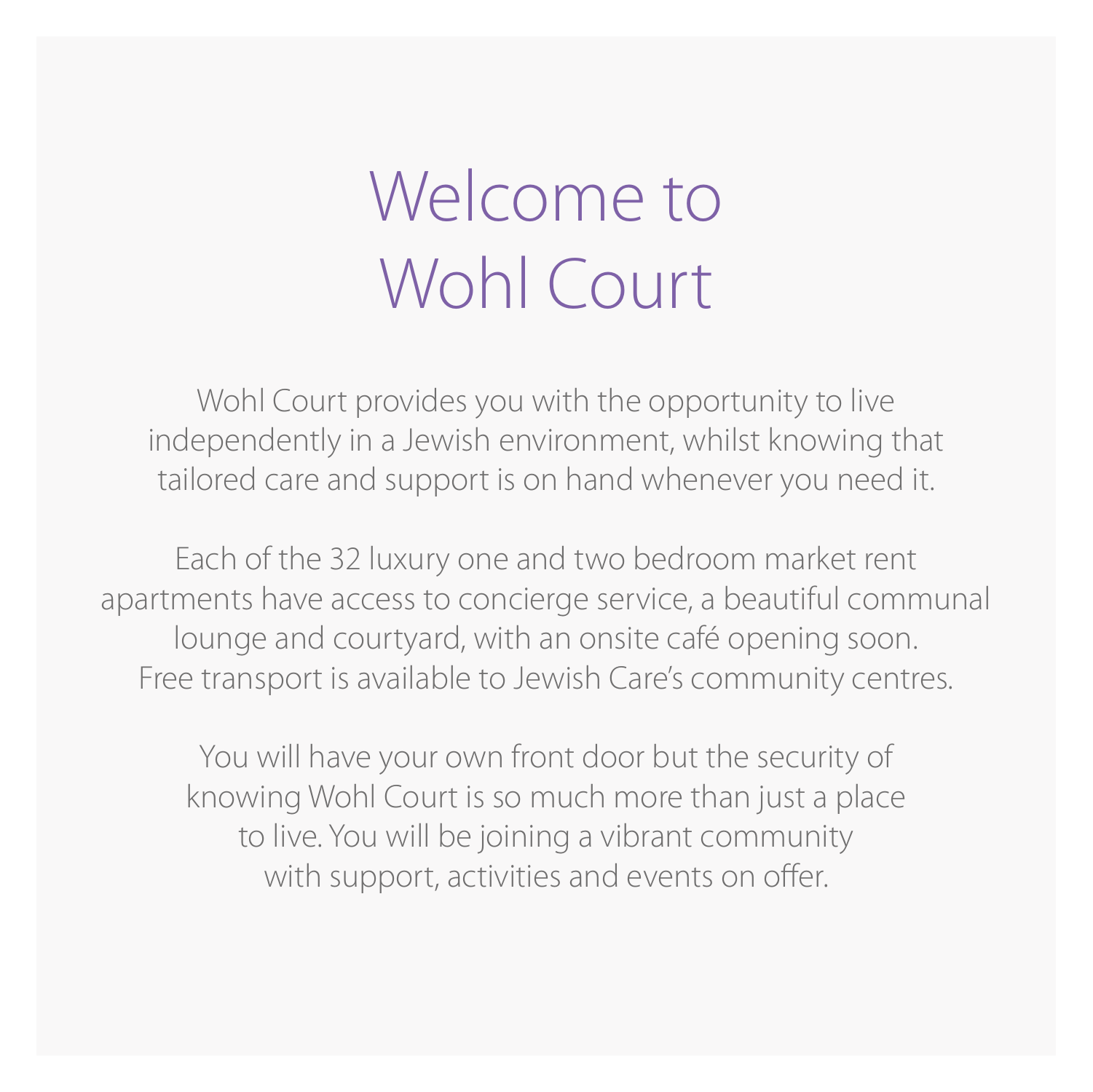# Welcome to Wohl Court

Wohl Court provides you with the opportunity to live independently in a Jewish environment, whilst knowing that tailored care and support is on hand whenever you need it.

Each of the 32 luxury one and two bedroom market rent apartments have access to concierge service, a beautiful communal lounge and courtyard, with an onsite café opening soon. Free transport is available to Jewish Care's community centres.

You will have your own front door but the security of knowing Wohl Court is so much more than just a place to live. You will be joining a vibrant community with support, activities and events on offer.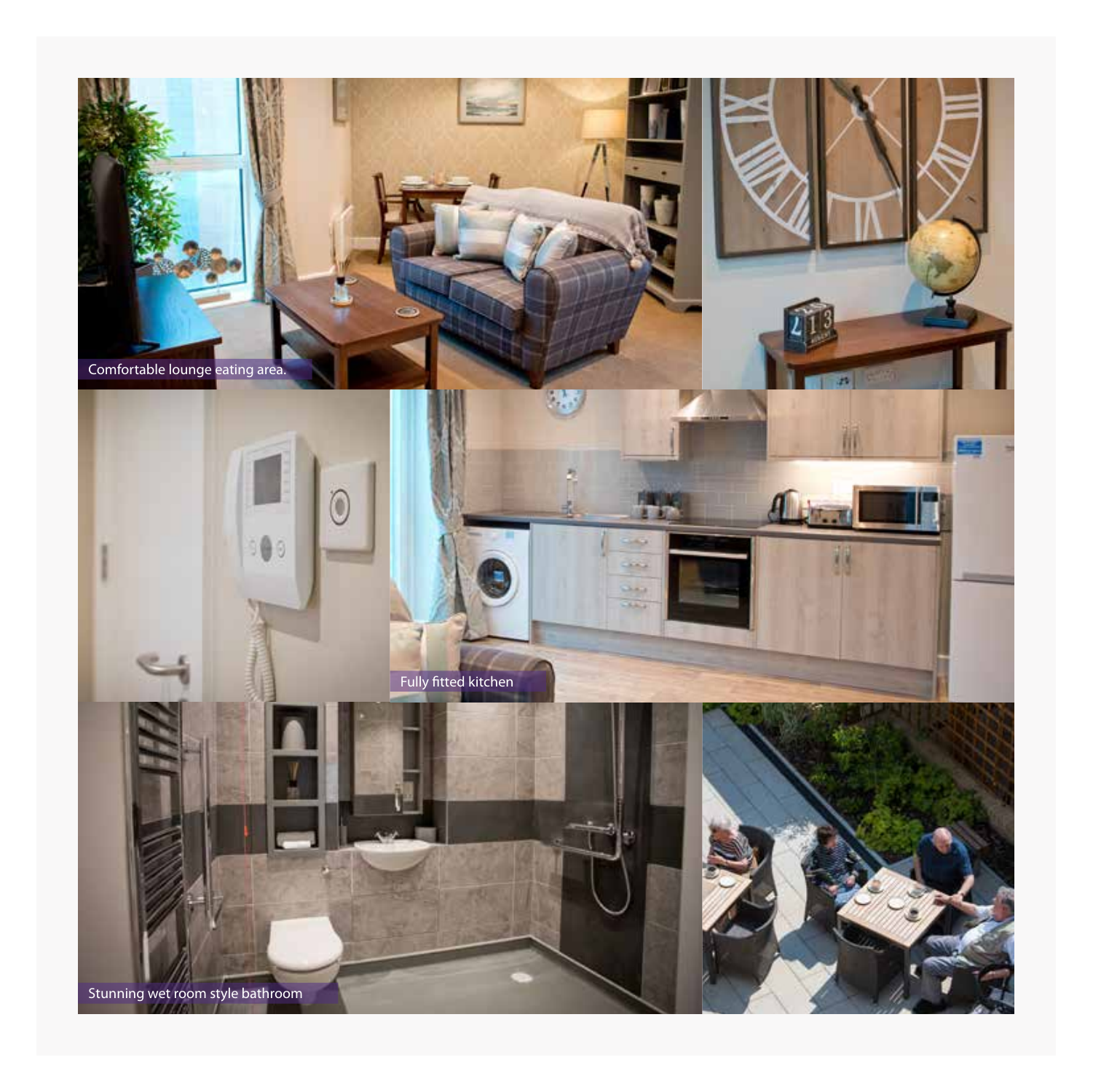